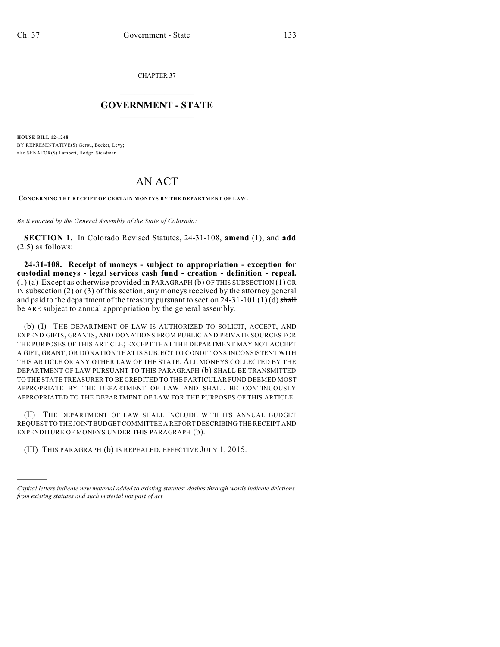)))))

CHAPTER 37

## $\mathcal{L}_\text{max}$  . The set of the set of the set of the set of the set of the set of the set of the set of the set of the set of the set of the set of the set of the set of the set of the set of the set of the set of the set **GOVERNMENT - STATE**  $\_$   $\_$

**HOUSE BILL 12-1248** BY REPRESENTATIVE(S) Gerou, Becker, Levy; also SENATOR(S) Lambert, Hodge, Steadman.

## AN ACT

**CONCERNING THE RECEIPT OF CERTAIN MONEYS BY THE DEPARTMENT OF LAW.**

*Be it enacted by the General Assembly of the State of Colorado:*

**SECTION 1.** In Colorado Revised Statutes, 24-31-108, **amend** (1); and **add** (2.5) as follows:

**24-31-108. Receipt of moneys - subject to appropriation - exception for custodial moneys - legal services cash fund - creation - definition - repeal.** (1) (a) Except as otherwise provided in PARAGRAPH (b) OF THIS SUBSECTION (1) OR IN subsection (2) or (3) of this section, any moneys received by the attorney general and paid to the department of the treasury pursuant to section  $24-31-101$  (1) (d) shall be ARE subject to annual appropriation by the general assembly.

(b) (I) THE DEPARTMENT OF LAW IS AUTHORIZED TO SOLICIT, ACCEPT, AND EXPEND GIFTS, GRANTS, AND DONATIONS FROM PUBLIC AND PRIVATE SOURCES FOR THE PURPOSES OF THIS ARTICLE; EXCEPT THAT THE DEPARTMENT MAY NOT ACCEPT A GIFT, GRANT, OR DONATION THAT IS SUBJECT TO CONDITIONS INCONSISTENT WITH THIS ARTICLE OR ANY OTHER LAW OF THE STATE. ALL MONEYS COLLECTED BY THE DEPARTMENT OF LAW PURSUANT TO THIS PARAGRAPH (b) SHALL BE TRANSMITTED TO THE STATE TREASURER TO BE CREDITED TO THE PARTICULAR FUND DEEMED MOST APPROPRIATE BY THE DEPARTMENT OF LAW AND SHALL BE CONTINUOUSLY APPROPRIATED TO THE DEPARTMENT OF LAW FOR THE PURPOSES OF THIS ARTICLE.

(II) THE DEPARTMENT OF LAW SHALL INCLUDE WITH ITS ANNUAL BUDGET REQUEST TO THE JOINT BUDGET COMMITTEE A REPORT DESCRIBING THE RECEIPT AND EXPENDITURE OF MONEYS UNDER THIS PARAGRAPH (b).

(III) THIS PARAGRAPH (b) IS REPEALED, EFFECTIVE JULY 1, 2015.

*Capital letters indicate new material added to existing statutes; dashes through words indicate deletions from existing statutes and such material not part of act.*